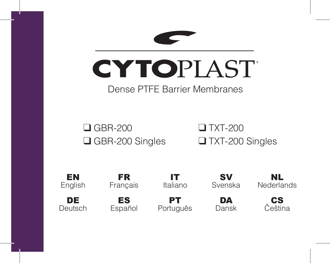

 $\Box$  GBR-200  $\Box$  GBR-200 Singles  $\Box$  TXT-200  $\Box$  TXT-200 Singles

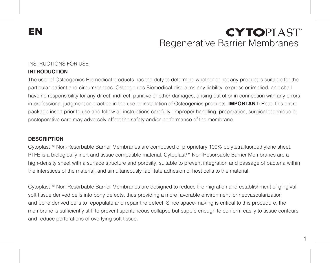EN

# **CYTOPIAST** Regenerative Barrier Membranes

#### INSTRUCTIONS FOR USE **INTRODUCTION**

The user of Osteogenics Biomedical products has the duty to determine whether or not any product is suitable for the particular patient and circumstances. Osteogenics Biomedical disclaims any liability, express or implied, and shall have no responsibility for any direct, indirect, punitive or other damages, arising out of or in connection with any errors in professional judgment or practice in the use or installation of Osteogenics products. **IMPORTANT:** Read this entire package insert prior to use and follow all instructions carefully. Improper handling, preparation, surgical technique or postoperative care may adversely affect the safety and/or performance of the membrane.

#### **DESCRIPTION**

Cytoplast™ Non-Resorbable Barrier Membranes are composed of proprietary 100% polytetrafluoroethylene sheet. PTFE is a biologically inert and tissue compatible material. Cytoplast™ Non-Resorbable Barrier Membranes are a high-density sheet with a surface structure and porosity, suitable to prevent integration and passage of bacteria within the interstices of the material, and simultaneously facilitate adhesion of host cells to the material.

Cytoplast™ Non-Resorbable Barrier Membranes are designed to reduce the migration and establishment of gingival soft tissue derived cells into bony defects, thus providing a more favorable environment for neovascularization and bone derived cells to repopulate and repair the defect. Since space-making is critical to this procedure, the membrane is sufficiently stiff to prevent spontaneous collapse but supple enough to conform easily to tissue contours and reduce perforations of overlying soft tissue.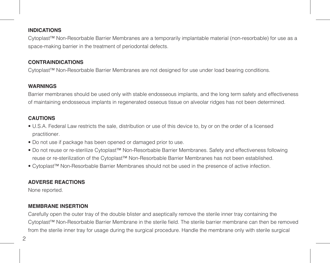#### **INDICATIONS**

Cytoplast™ Non-Resorbable Barrier Membranes are a temporarily implantable material (non-resorbable) for use as a space-making barrier in the treatment of periodontal defects.

## **CONTRAINDICATIONS**

Cytoplast™ Non-Resorbable Barrier Membranes are not designed for use under load bearing conditions.

### **WARNINGS**

Barrier membranes should be used only with stable endosseous implants, and the long term safety and effectiveness of maintaining endosseous implants in regenerated osseous tissue on alveolar ridges has not been determined.

## **CAUTIONS**

- U.S.A. Federal Law restricts the sale, distribution or use of this device to, by or on the order of a licensed practitioner.
- Do not use if package has been opened or damaged prior to use.
- Do not reuse or re-sterilize Cytoplast™ Non-Resorbable Barrier Membranes. Safety and effectiveness following reuse or re-sterilization of the Cytoplast™ Non-Resorbable Barrier Membranes has not been established.
- Cytoplast™ Non-Resorbable Barrier Membranes should not be used in the presence of active infection.

## **ADVERSE REACTIONS**

None reported.

## **MEMBRANE INSERTION**

Carefully open the outer tray of the double blister and aseptically remove the sterile inner tray containing the Cytoplast™ Non-Resorbable Barrier Membrane in the sterile field. The sterile barrier membrane can then be removed from the sterile inner tray for usage during the surgical procedure. Handle the membrane only with sterile surgical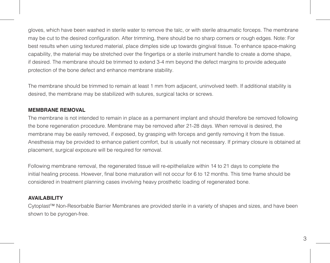gloves, which have been washed in sterile water to remove the talc, or with sterile atraumatic forceps. The membrane may be cut to the desired configuration. After trimming, there should be no sharp corners or rough edges. Note: For best results when using textured material, place dimples side up towards gingival tissue. To enhance space-making capability, the material may be stretched over the fingertips or a sterile instrument handle to create a dome shape, if desired. The membrane should be trimmed to extend 3-4 mm beyond the defect margins to provide adequate protection of the bone defect and enhance membrane stability.

The membrane should be trimmed to remain at least 1 mm from adjacent, uninvolved teeth. If additional stability is desired, the membrane may be stabilized with sutures, surgical tacks or screws.

### **MEMBRANE REMOVAL**

The membrane is not intended to remain in place as a permanent implant and should therefore be removed following the bone regeneration procedure. Membrane may be removed after 21-28 days. When removal is desired, the membrane may be easily removed, if exposed, by grasping with forceps and gently removing it from the tissue. Anesthesia may be provided to enhance patient comfort, but is usually not necessary. If primary closure is obtained at placement, surgical exposure will be required for removal.

Following membrane removal, the regenerated tissue will re-epithelialize within 14 to 21 days to complete the initial healing process. However, final bone maturation will not occur for 6 to 12 months. This time frame should be considered in treatment planning cases involving heavy prosthetic loading of regenerated bone.

### **AVAILABILITY**

Cytoplast™ Non-Resorbable Barrier Membranes are provided sterile in a variety of shapes and sizes, and have been shown to be pyrogen-free.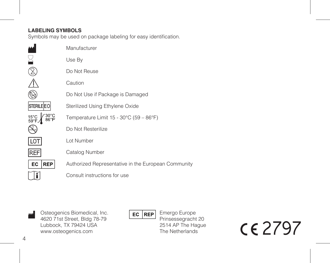## **LABELING SYMBOLS**

Symbols may be used on package labeling for easy identification.

|                   | Manufacturer                                        |
|-------------------|-----------------------------------------------------|
|                   | Use By                                              |
|                   | Do Not Reuse                                        |
|                   | Caution                                             |
|                   | Do Not Use if Package is Damaged                    |
| <b>STERILE EO</b> | Sterilized Using Ethylene Oxide                     |
| 15°C<br>59°F.     | Temperature Limit 15 - 30°C (59 - 86°F)             |
|                   | Do Not Resterilize                                  |
| <b>ILOT</b>       | Lot Number                                          |
| <b>REF</b>        | Catalog Number                                      |
| EC.<br><b>REP</b> | Authorized Representative in the European Community |
|                   | Consult instructions for use                        |

Osteogenics Biomedical, Inc. 4620 71st Street, Bldg 78-79 Lubbock, TX 79424 USA www.osteogenics.com M

 $EC$  REP

Emergo Europe Prinsessegracht 20 2514 AP The Hague The Netherlands

C2797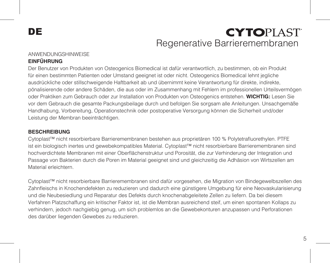# DE

# **CYTOPIAST** Regenerative Barrieremembranen

#### **ANWENDUNGSHINWEISE EINFÜHRUNG**

Der Benutzer von Produkten von Osteogenics Biomedical ist dafür verantwortlich, zu bestimmen, ob ein Produkt für einen bestimmten Patienten oder Umstand geeignet ist oder nicht. Osteogenics Biomedical lehnt jegliche ausdrückliche oder stillschweigende Haftbarkeit ab und übernimmt keine Verantwortung für direkte, indirekte, pönalisierende oder andere Schäden, die aus oder im Zusammenhang mit Fehlern im professionellen Urteilsvermögen oder Praktiken zum Gebrauch oder zur Installation von Produkten von Osteogenics entstehen. **WICHTIG:** Lesen Sie vor dem Gebrauch die gesamte Packungsbeilage durch und befolgen Sie sorgsam alle Anleitungen. Unsachgemäße Handhabung, Vorbereitung, Operationstechnik oder postoperative Versorgung können die Sicherheit und/oder Leistung der Membran beeinträchtigen.

### **BESCHREIBUNG**

Cytoplast™ nicht resorbierbare Barrieremembranen bestehen aus proprietären 100 % Polytetrafluorethylen. PTFE ist ein biologisch inertes und gewebekompatibles Material. Cytoplast™ nicht resorbierbare Barrieremembranen sind hochverdichtete Membranen mit einer Oberflächenstruktur und Porosität, die zur Verhinderung der Integration und Passage von Bakterien durch die Poren im Material geeignet sind und gleichzeitig die Adhäsion von Wirtszellen am Material erleichtern.

Cytoplast™ nicht resorbierbare Barrieremembranen sind dafür vorgesehen, die Migration von Bindegewelbszellen des Zahnfleischs in Knochendefekten zu reduzieren und dadurch eine günstigere Umgebung für eine Neovaskularisierung und die Neubesiedlung und Reparatur des Defekts durch knochenabgeleitete Zellen zu liefern. Da bei diesem Verfahren Platzschaffung ein kritischer Faktor ist, ist die Membran ausreichend steif, um einen spontanen Kollaps zu verhindern, jedoch nachgiebig genug, um sich problemlos an die Gewebekonturen anzupassen und Perforationen des darüber liegenden Gewebes zu reduzieren.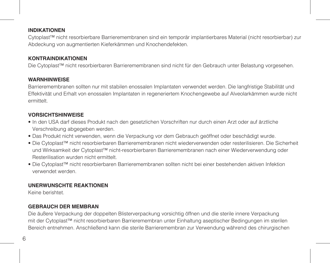#### **INDIKATIONEN**

Cytoplast™ nicht resorbierbare Barrieremembranen sind ein temporär implantierbares Material (nicht resorbierbar) zur Abdeckung von augmentierten Kieferkämmen und Knochendefekten.

### **KONTRAINDIKATIONEN**

Die Cytoplast™ nicht resorbierbaren Barrieremembranen sind nicht für den Gebrauch unter Belastung vorgesehen.

#### **WARNHINWEISE**

Barrieremembranen sollten nur mit stabilen enossalen Implantaten verwendet werden. Die langfristige Stabilität und Effektivität und Erhalt von enossalen Implantaten in regeneriertem Knochengewebe auf Alveolarkämmen wurde nicht ermittelt.

## **VORSICHTSHINWEISE**

- In den USA darf dieses Produkt nach den gesetzlichen Vorschriften nur durch einen Arzt oder auf ärztliche Verschreibung abgegeben werden.
- Das Produkt nicht verwenden, wenn die Verpackung vor dem Gebrauch geöffnet oder beschädigt wurde.
- Die Cytoplast™ nicht resorbierbaren Barrieremembranen nicht wiederverwenden oder resterilisieren. Die Sicherheit und Wirksamkeit der Cytoplast™ nicht-resorbierbaren Barrieremembranen nach einer Wiederverwendung oder Resterilisation wurden nicht ermittelt.
- Die Cytoplast™ nicht resorbierbaren Barrieremembranen sollten nicht bei einer bestehenden aktiven Infektion verwendet werden.

#### **UNERWUNSCHTE REAKTIONEN**

Keine berishtet.

#### **GEBRAUCH DER MEMBRAN**

Die äußere Verpackung der doppelten Blisterverpackung vorsichtig öffnen und die sterile innere Verpackung mit der Cytoplast™ nicht resorbierbaren Barrieremembran unter Einhaltung aseptischer Bedingungen im sterilen Bereich entnehmen. Anschließend kann die sterile Barrieremembran zur Verwendung während des chirurgischen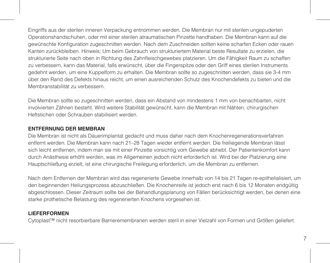Eingriffs aus der sterilen inneren Verpackung entnommen werden. Die Membran nur mit sterilen ungepuderten Operationshandschuhen, oder mit einer sterilen atraumatischen Pinzette handhaben. Die Membran kann auf die gewünschte Konfiguration zugeschnitten werden. Nach dem Zuschneiden sollten keine scharfen Ecken oder rauen Kanten zurückbleiben. Hinweis: Um beim Gebrauch von strukturiertem Material beste Resultate zu erzielen, die strukturierte Seite nach oben in Richtung des Zahnfleischgewebes platzieren. Um die Fähigkeit Raum zu schaffen zu verbessern, kann das Material, falls erwünscht, über die Fingerspitze oder den Griff eines sterilen Instruments gedehnt werden, um eine Kuppelform zu erhalten. Die Membran sollte so zugeschnitten werden, dass sie 3-4 mm über den Rand des Defekts hinaus reicht, um einen ausreichenden Schutz des Knochendefekts zu bieten und die Membranstabilität zu verbessern.

Die Membran sollte so zugeschnitten werden, dass ein Abstand von mindestens 1 mm von benachbarten, nicht involvierten Zähnen besteht. Wird weitere Stabilität gewünscht, kann die Membran mit Nähten, chirurgischen Heftstichen oder Schrauben stabilisiert werden.

#### **ENTFERNUNG DER MEMBRAN**

Die Membran ist nicht als Dauerimplantat gedacht und muss daher nach dem Knochenregenerationsverfahren entfernt werden. Die Membran kann nach 21–28 Tagen wieder entfernt werden. Die freiliegende Membran lässt sich leicht entfernen, indem man sie mit einer Pinzette vorsichtig vom Gewebe abhebt. Der Patientenkomfort kann durch Anästhesie erhöht werden, was im Allgemeinen jedoch nicht erforderlich ist. Wird bei der Platzierung eine Hauptschließung erzielt, ist eine chirurgische Freilegung erforderlich, um die Membran zu entfernen.

Nach dem Entfernen der Membran wird das regenerierte Gewebe innerhalb von 14 bis 21 Tagen re-epithelialisiert, um den beginnenden Heilungsprozess abzuschließen. Die Knochenreife ist jedoch erst nach 6 bis 12 Monaten endgültig abgeschlossen. Dieser Zeitraum sollte bei der Behandlungsplanung von Fällen berücksichtigt werden, bei denen eine starke prothetische Belastung des regenerierten Knochens vorgesehen ist.

### **LIEFERFORMEN**

Cytoplast™ nicht resorbierbare Barrieremembranen werden steril in einer Vielzahl von Formen und Größen geliefert.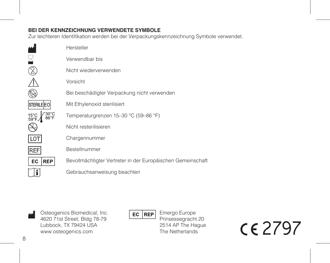## **BEI DER KENNZEICHNUNG VERWENDETE SYMBOLE**

Zur leichteren Identifikation werden bei der Verpackungskennzeichnung Symbole verwendet.

|                                 | Hersteller                                                  |
|---------------------------------|-------------------------------------------------------------|
|                                 | Verwendbar bis                                              |
|                                 | Nicht wiederverwenden                                       |
|                                 | Vorsicht                                                    |
|                                 | Bei beschädigter Verpackung nicht verwenden                 |
| <b>STERILE EO</b>               | Mit Ethylenoxid sterilisiert                                |
| $30^{\circ}$ C<br>15°C<br>59°F. | Temperaturgrenzen 15-30 °C (59-86 °F)                       |
|                                 | Nicht resterilisieren                                       |
| LOT                             | Chargennummer                                               |
| REF                             | Bestellnummer                                               |
| <b>REP</b><br>EC                | Bevollmächtigter Vertreter in der Europäischen Gemeinschaft |
|                                 | Gebrauchsanweisung beachten                                 |
|                                 |                                                             |

M Osteogenics Biomedical, Inc. 4620 71st Street, Bldg 78-79 Lubbock, TX 79424 USA www.osteogenics.com

 $EC$  REP

Emergo Europe Prinsessegracht 20 2514 AP The Hague The Netherlands

C2797

M  $\ge$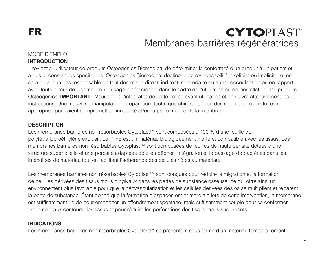# FR

# **CYTOPIAST** Membranes barrières régénératrices

## MODE D'EMPLOI

#### **INTRODUCTION**

Il revient à l'utilisateur de produits Osteogenics Biomedical de déterminer la conformité d'un produit à un patient et à des circonstances spécifiques. Osteogenics Biomedical décline toute responsabilité, explicite ou implicite, et ne sera en aucun cas responsable de tout dommage direct, indirect, secondaire ou autre, découlant de ou en rapport avec toute erreur de jugement ou d'usage professionnel dans le cadre de l'utilisation ou de l'installation des produits Osteogenics. **IMPORTANT :** Veuillez lire l'intégralité de cette notice avant utilisation et en suivre attentivement les instructions. Une mauvaise manipulation, préparation, technique chirurgicale ou des soins post-opératoires non appropriés pourraient compromettre l'innocuité et/ou la performance de la membrane.

#### **DESCRIPTION**

Les membranes barrières non résorbables Cytoplast™ sont composées à 100 % d'une feuille de polytétrafluoroéthylène exclusif. Le PTFE est un matériau biologiquement inerte et compatible avec les tissus. Les membranes barrières non résorbables Cytoplast™ sont composées de feuilles de haute densité dotées d'une structure superficielle et une porosité adaptées pour empêcher l'intégration et le passage de bactéries dans les interstices de matériau tout en facilitant l'adhérence des cellules hôtes au matériau.

Les membranes barrières non résorbables Cytoplast™ sont conçues pour réduire la migration et la formation de cellules dérivées des tissus mous gingivaux dans les pertes de substance osseuse, ce qui offre ainsi un environnement plus favorable pour que la néovascularisation et les cellules dérivées des os se multiplient et réparent la perte de substance. Étant donné que la formation d'espaces est primordiale lors de cette intervention, la membrane est suffisamment rigide pour empêcher un effondrement spontané, mais suffisamment souple pour se conformer facilement aux contours des tissus et pour réduire les perforations des tissus mous sus-jacents.

## **INDICATIONS**

Les membranes barrières non résorbables Cytoplast™ se présentent sous forme d'un matériau temporairement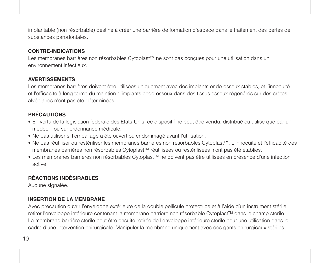implantable (non résorbable) destiné à créer une barrière de formation d'espace dans le traitement des pertes de substances parodontales.

### **CONTRE-INDICATIONS**

Les membranes barrières non résorbables Cytoplast™ ne sont pas conçues pour une utilisation dans un environnement infectieux.

#### **AVERTISSEMENTS**

Les membranes barrières doivent être utilisées uniquement avec des implants endo-osseux stables, et l'innocuité et l'efficacité à long terme du maintien d'implants endo-osseux dans des tissus osseux régénérés sur des crêtes alvéolaires n'ont pas été déterminées.

## **PRÉCAUTIONS**

- En vertu de la législation fédérale des États-Unis, ce dispositif ne peut être vendu, distribué ou utilisé que par un médecin ou sur ordonnance médicale.
- Ne pas utiliser si l'emballage a été ouvert ou endommagé avant l'utilisation.
- Ne pas réutiliser ou restériliser les membranes barrières non résorbables Cytoplast™. L'innocuité et l'efficacité des membranes barrières non résorbables Cytoplast™ réutilisées ou restérilisées n'ont pas été établies.
- Les membranes barrières non résorbables Cytoplast™ ne doivent pas être utilisées en présence d'une infection active.

## **RÉACTIONS INDÉSIRABLES**

Aucune signalée.

## **INSERTION DE LA MEMBRANE**

Avec précaution ouvrir l'enveloppe extérieure de la double pellicule protectrice et à l'aide d'un instrument stérile retirer l'enveloppe intérieure contenant la membrane barrière non résorbable Cytoplast™ dans le champ stérile. La membrane barrière stérile peut être ensuite retirée de l'enveloppe intérieure stérile pour une utilisation dans le cadre d'une intervention chirurgicale. Manipuler la membrane uniquement avec des gants chirurgicaux stériles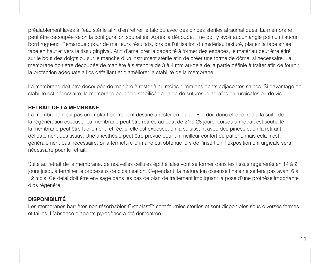préalablement lavés à l'eau stérile afin d'en retirer le talc ou avec des pinces stériles atraumatiques. La membrane peut être découpée selon la configuration souhaitée. Après la découpe, il ne doit y avoir aucun angle pointu ni aucun bord rugueux. Remarque : pour de meilleurs résultats, lors de l'utilisation du matériau texturé, placez la face striée face en haut et vers le tissu gingival. Afin d'améliorer la capacité à former des espaces, le matériau peut être étiré sur le bout des doigts ou sur le manche d'un instrument stérile afin de créer une forme de dôme, si nécessaire. La membrane doit être découpée de manière à s'étendre de 3 à 4 mm au-delà de la partie définie à traiter afin de fournir la protection adéquate à l'os défaillant et d'améliorer la stabilité de la membrane.

La membrane doit être découpée de manière à rester à au moins 1 mm des dents adjacentes saines. Si davantage de stabilité est nécessaire, la membrane peut être stabilisée à l'aide de sutures, d'agrafes chirurgicales ou de vis.

### **RETRAIT DE LA MEMBRANE**

La membrane n'est pas un implant permanent destiné à rester en place. Elle doit donc être retirée à la suite de la régénération osseuse. La membrane peut être retirée au bout de 21 à 28 jours. Lorsqu'un retrait est souhaité, la membrane peut être facilement retirée, si elle est exposée, en la saisissant avec des pinces et en la retirant délicatement des tissus. Une anesthésie peut être prévue pour un meilleur confort du patient, mais cela n'est généralement pas nécessaire. Si la fermeture primaire est obtenue lors de l'insertion, l'exposition chirurgicale sera nécessaire pour le retrait.

Suite au retrait de la membrane, de nouvelles cellules épithéliales vont se former dans les tissus régénérés en 14 à 21 jours jusqu'à terminer le processus de cicatrisation. Cependant, la maturation osseuse finale ne se fera pas avant 6 à 12 mois. Ce délai doit être envisagé dans les cas de plan de traitement impliquant la pose d'une prothèse importante d'os régénéré.

## **DISPONIBILITÉ**

Les membranes barrières non résorbables Cytoplast™ sont fournies stériles et sont disponibles sous diverses formes et tailles. L'absence d'agents pyrogènes a été démontrée.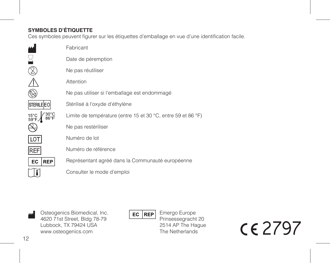## **SYMBOLES D'ÉTIQUETTE**

M  $\ge$ 

Ces symboles peuvent figurer sur les étiquettes d'emballage en vue d'une identification facile.

|                                | Fabricant                                                    |
|--------------------------------|--------------------------------------------------------------|
|                                | Date de péremption                                           |
|                                | Ne pas réutiliser                                            |
|                                | Attention                                                    |
|                                | Ne pas utiliser si l'emballage est endommagé                 |
| <b>STERILE EO</b>              | Stérilisé à l'oxyde d'éthylène                               |
| $30^{\circ}$ C<br>15°C<br>59°F | Limite de température (entre 15 et 30 °C, entre 59 et 86 °F) |
|                                | Ne pas restériliser                                          |
| LO <sub>T</sub>                | Numéro de lot                                                |
| REF                            | Numéro de référence                                          |
| EC<br><b>REP</b>               | Représentant agréé dans la Communauté européenne             |
|                                | Consulter le mode d'emploi                                   |
|                                |                                                              |

M Osteogenics Biomedical, Inc. 4620 71st Street, Bldg 78-79 Lubbock, TX 79424 USA www.osteogenics.com

 $EC$  REP

Emergo Europe Prinsessegracht 20 2514 AP The Hague The Netherlands

C2797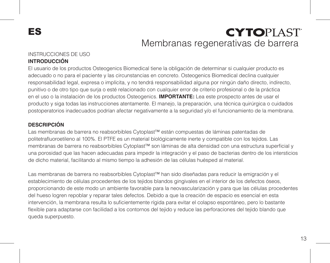## ES

# **CYTOPIAST** Membranas regenerativas de barrera

## INSTRUCCIONES DE USO

## **INTRODUCCIÓN**

El usuario de los productos Osteogenics Biomedical tiene la obligación de determinar si cualquier producto es adecuado o no para el paciente y las circunstancias en concreto. Osteogenics Biomedical declina cualquier responsabilidad legal, expresa o implícita, y no tendrá responsabilidad alguna por ningún daño directo, indirecto, punitivo o de otro tipo que surja o esté relacionado con cualquier error de criterio profesional o de la práctica en el uso o la instalación de los productos Osteogenics. **IMPORTANTE:** Lea este prospecto antes de usar el producto y siga todas las instrucciones atentamente. El manejo, la preparación, una técnica quirúrgica o cuidados postoperatorios inadecuados podrían afectar negativamente a la seguridad y/o el funcionamiento de la membrana.

## **DESCRIPCIÓN**

Las membranas de barrera no reabsorbibles Cytoplast™ están compuestas de láminas patentadas de politetrafluoroetileno al 100%. El PTFE es un material biológicamente inerte y compatible con los tejidos. Las membranas de barrera no reabsorbibles Cytoplast™ son láminas de alta densidad con una estructura superficial y una porosidad que las hacen adecuadas para impedir la integración y el paso de bacterias dentro de los intersticios de dicho material, facilitando al mismo tiempo la adhesión de las células huésped al material.

Las membranas de barrera no reabsorbibles Cytoplast™ han sido diseñadas para reducir la emigración y el establecimiento de células procedentes de los tejidos blandos gingivales en el interior de los defectos óseos, proporcionando de este modo un ambiente favorable para la neovascularización y para que las células procedentes del hueso logren repoblar y reparar tales defectos. Debido a que la creación de espacio es esencial en esta intervención, la membrana resulta lo suficientemente rígida para evitar el colapso espontáneo, pero lo bastante flexible para adaptarse con facilidad a los contornos del tejido y reduce las perforaciones del tejido blando que queda superpuesto.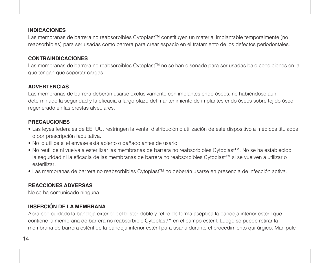#### **INDICACIONES**

Las membranas de barrera no reabsorbibles Cytoplast™ constituyen un material implantable temporalmente (no reabsorbibles) para ser usadas como barrera para crear espacio en el tratamiento de los defectos periodontales.

#### **CONTRAINDICACIONES**

Las membranas de barrera no reabsorbibles Cytoplast™ no se han diseñado para ser usadas bajo condiciones en la que tengan que soportar cargas.

### **ADVERTENCIAS**

Las membranas de barrera deberán usarse exclusivamente con implantes endo-óseos, no habiéndose aún determinado la seguridad y la eficacia a largo plazo del mantenimiento de implantes endo óseos sobre tejido óseo regenerado en las crestas alveolares.

#### **PRECAUCIONES**

- Las leyes federales de EE. UU. restringen la venta, distribución o utilización de este dispositivo a médicos titulados o por prescripción facultativa.
- No lo utilice si el envase está abierto o dañado antes de usarlo.
- No reutilice ni vuelva a esterilizar las membranas de barrera no reabsorbibles Cytoplast™. No se ha establecido la seguridad ni la eficacia de las membranas de barrera no reabsorbibles Cytoplast™ si se vuelven a utilizar o esterilizar.
- Las membranas de barrera no reabsorbibles Cytoplast™ no deberán usarse en presencia de infección activa.

### **REACCIONES ADVERSAS**

No se ha comunicado ninguna.

## **INSERCIÓN DE LA MEMBRANA**

Abra con cuidado la bandeja exterior del blíster doble y retire de forma aséptica la bandeja interior estéril que contiene la membrana de barrera no reabsorbible Cytoplast™ en el campo estéril. Luego se puede retirar la membrana de barrera estéril de la bandeja interior estéril para usarla durante el procedimiento quirúrgico. Manipule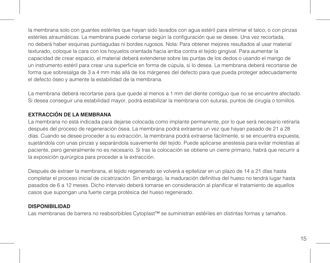la membrana solo con guantes estériles que hayan sido lavados con agua estéril para eliminar el talco, o con pinzas estériles atraumáticas. La membrana puede cortarse según la configuración que se desee. Una vez recortada, no deberá haber esquinas puntiagudas ni bordes rugosos. Nota: Para obtener mejores resultados al usar material texturado, coloque la cara con los hoyuelos orientada hacia arriba contra el tejido gingival. Para aumentar la capacidad de crear espacio, el material deberá extenderse sobre las puntas de los dedos o usando el mango de un instrumento estéril para crear una superficie en forma de cúpula, si lo desea. La membrana deberá recortarse de forma que sobresalga de 3 a 4 mm más allá de los márgenes del defecto para que pueda proteger adecuadamente el defecto óseo y aumente la estabilidad de la membrana.

La membrana deberá recortarse para que quede al menos a 1 mm del diente contiguo que no se encuentre afectado. Si desea conseguir una estabilidad mayor, podrá estabilizar la membrana con suturas, puntos de cirugía o tornillos.

## **EXTRACCIÓN DE LA MEMBRANA**

La membrana no está indicada para dejarse colocada como implante permanente, por lo que será necesario retirarla después del proceso de regeneración ósea. La membrana podrá extraerse un vez que hayan pasado de 21 a 28 días. Cuando se desee proceder a su extracción, la membrana podrá extraerse fácilmente, si se encuentra expuesta, sujetándola con unas pinzas y separándola suavemente del tejido. Puede aplicarse anestesia para evitar molestias al paciente, pero generalmente no es necesario. Si tras la colocación se obtiene un cierre primario, habrá que recurrir a la exposición quirúrgica para proceder a la extracción.

Después de extraer la membrana, el tejido regenerado se volverá a epitelizar en un plazo de 14 a 21 días hasta completar el proceso inicial de cicatrización. Sin embargo, la maduración definitiva del hueso no tendrá lugar hasta pasados de 6 a 12 meses. Dicho intervalo deberá tomarse en consideración al planificar el tratamiento de aquellos casos que supongan una fuerte carga protésica del hueso regenerado.

### **DISPONIBILIDAD**

Las membranas de barrera no reabsorbibles Cytoplast™ se suministran estériles en distintas formas y tamaños.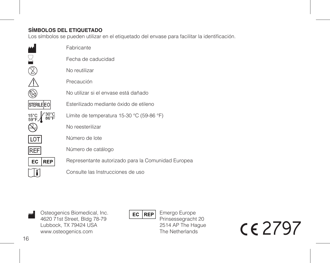## **SÍMBOLOS DEL ETIQUETADO**

M  $\ge$  $\stackrel{\circledR}{\longrightarrow}$ 

 $\circledS$ 

Los símbolos se pueden utilizar en el etiquetado del envase para facilitar la identificación.

|                                    | Fabricante                                         |
|------------------------------------|----------------------------------------------------|
|                                    | Fecha de caducidad                                 |
|                                    | No reutilizar                                      |
|                                    | Precaución                                         |
|                                    | No utilizar si el envase está dañado               |
| <b>STERILE EO</b>                  | Esterilizado mediante óxido de etileno             |
| '30°C<br>15°C<br>59°F <sub>-</sub> | Límite de temperatura 15-30 °C (59-86 °F)          |
|                                    | No reesterilizar                                   |
| LOT                                | Número de lote                                     |
| REF                                | Número de catálogo                                 |
| <b>REP</b><br>EC                   | Representante autorizado para la Comunidad Europea |
|                                    | Consulte las Instrucciones de uso                  |
|                                    |                                                    |

M Osteogenics Biomedical, Inc. 4620 71st Street, Bldg 78-79 Lubbock, TX 79424 USA www.osteogenics.com

 $EC$  REP

Emergo Europe Prinsessegracht 20 2514 AP The Hague The Netherlands

C2797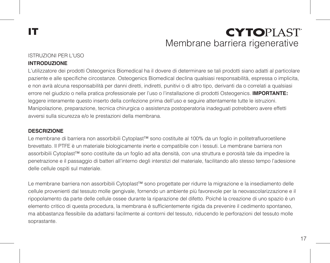IT

# **CYTOPIAST** Membrane barriera rigenerative

## ISTRUZIONI PER L'USO

## **INTRODUZIONE**

L'utilizzatore dei prodotti Osteogenics Biomedical ha il dovere di determinare se tali prodotti siano adatti al particolare paziente e alle specifiche circostanze. Osteogenics Biomedical declina qualsiasi responsabilità, espressa o implicita, e non avrà alcuna responsabilità per danni diretti, indiretti, punitivi o di altro tipo, derivanti da o correlati a qualsiasi errore nel giudizio o nella pratica professionale per l'uso o l'installazione di prodotti Osteogenics. **IMPORTANTE:** leggere interamente questo inserto della confezione prima dell'uso e seguire attentamente tutte le istruzioni. Manipolazione, preparazione, tecnica chirurgica o assistenza postoperatoria inadeguati potrebbero avere effetti avversi sulla sicurezza e/o le prestazioni della membrana.

#### **DESCRIZIONE**

Le membrane di barriera non assorbibili Cytoplast™ sono costituite al 100% da un foglio in politetrafluoroetilene brevettato. Il PTFE è un materiale biologicamente inerte e compatibile con i tessuti. Le membrane barriera non assorbibili Cytoplast™ sono costituite da un foglio ad alta densità, con una struttura e porosità tale da impedire la penetrazione e il passaggio di batteri all'interno degli interstizi del materiale, facilitando allo stesso tempo l'adesione delle cellule ospiti sul materiale.

Le membrane barriera non assorbibili Cytoplast™ sono progettate per ridurre la migrazione e la insediamento delle cellule provenienti dal tessuto molle gengivale, fornendo un ambiente più favorevole per la neovascolarizzazione e il ripopolamento da parte delle cellule ossee durante la riparazione del difetto. Poiché la creazione di uno spazio è un elemento critico di questa procedura, la membrana è sufficientemente rigida da prevenire il cedimento spontaneo, ma abbastanza flessibile da adattarsi facilmente ai contorni del tessuto, riducendo le perforazioni del tessuto molle soprastante.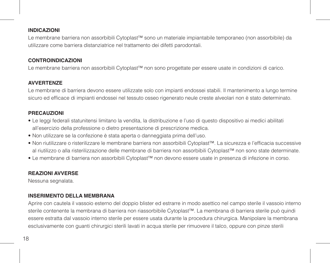#### **INDICAZIONI**

Le membrane barriera non assorbibili Cytoplast™ sono un materiale impiantabile temporaneo (non assorbibile) da utilizzare come barriera distanziatrice nel trattamento dei difetti parodontali.

#### **CONTROINDICAZIONI**

Le membrane barriera non assorbibili Cytoplast™ non sono progettate per essere usate in condizioni di carico.

#### **AVVERTENZE**

Le membrane di barriera devono essere utilizzate solo con impianti endossei stabili. Il mantenimento a lungo termine sicuro ed efficace di impianti endossei nel tessuto osseo rigenerato neule creste alveolari non è stato determinato.

## **PRECAUZIONI**

- Le leggi federali statunitensi limitano la vendita, la distribuzione e l'uso di questo dispositivo ai medici abilitati all'esercizio della professione o dietro presentazione di prescrizione medica.
- Non utilizzare se la confezione è stata aperta o danneggiata prima dell'uso.
- Non riutilizzare o risterilizzare le membrane barriera non assorbibili Cytoplast™. La sicurezza e l'efficacia successive al riutilizzo o alla risterilizzazione delle membrane di barriera non assorbibili Cytoplast™ non sono state determinate.
- Le membrane di barriera non assorbibili Cytoplast™ non devono essere usate in presenza di infezione in corso.

#### **REAZIONI AVVERSE**

Nessuna segnalata.

#### **INSERIMENTO DELLA MEMBRANA**

Aprire con cautela il vassoio esterno del doppio blister ed estrarre in modo asettico nel campo sterile il vassoio interno sterile contenente la membrana di barriera non riassorbibile Cytoplast™. La membrana di barriera sterile può quindi essere estratta dal vassoio interno sterile per essere usata durante la procedura chirurgica. Manipolare la membrana esclusivamente con guanti chirurgici sterili lavati in acqua sterile per rimuovere il talco, oppure con pinze sterili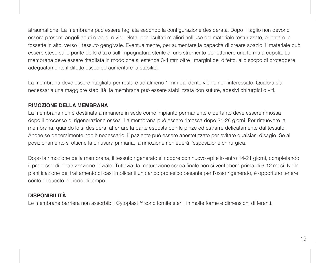atraumatiche. La membrana può essere tagliata secondo la configurazione desiderata. Dopo il taglio non devono essere presenti angoli acuti o bordi ruvidi. Nota: per risultati migliori nell'uso del materiale testurizzato, orientare le fossette in alto, verso il tessuto gengivale. Eventualmente, per aumentare la capacità di creare spazio, il materiale può essere steso sulle punte delle dita o sull'impugnatura sterile di uno strumento per ottenere una forma a cupola. La membrana deve essere ritagliata in modo che si estenda 3-4 mm oltre i margini del difetto, allo scopo di proteggere adeguatamente il difetto osseo ed aumentare la stabilità.

La membrana deve essere ritagliata per restare ad almeno 1 mm dal dente vicino non interessato. Qualora sia necessaria una maggiore stabilità, la membrana può essere stabilizzata con suture, adesivi chirurgici o viti.

## **RIMOZIONE DELLA MEMBRANA**

La membrana non è destinata a rimanere in sede come impianto permanente e pertanto deve essere rimossa dopo il processo di rigenerazione ossea. La membrana può essere rimossa dopo 21-28 giorni. Per rimuovere la membrana, quando lo si desidera, afferrare la parte esposta con le pinze ed estrarre delicatamente dal tessuto. Anche se generalmente non è necessario, il paziente può essere anestetizzato per evitare qualsiasi disagio. Se al posizionamento si ottiene la chiusura primaria, la rimozione richiederà l'esposizione chirurgica.

Dopo la rimozione della membrana, il tessuto rigenerato si ricopre con nuovo epitelio entro 14-21 giorni, completando il processo di cicatrizzazione iniziale. Tuttavia, la maturazione ossea finale non si verificherà prima di 6-12 mesi. Nella pianificazione del trattamento di casi implicanti un carico protesico pesante per l'osso rigenerato, è opportuno tenere conto di questo periodo di tempo.

## **DISPONIBILITÀ**

Le membrane barriera non assorbibili Cytoplast™ sono fornite sterili in molte forme e dimensioni differenti.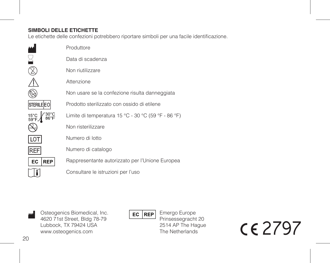## **SIMBOLI DELLE ETICHETTE**

M  $\ge$  $\stackrel{\circledR}{\longrightarrow}$ 

Le etichette delle confezioni potrebbero riportare simboli per una facile identificazione.

|                   | Produttore                                          |
|-------------------|-----------------------------------------------------|
|                   | Data di scadenza                                    |
|                   | Non riutilizzare                                    |
|                   | Attenzione                                          |
|                   | Non usare se la confezione risulta danneggiata      |
| <b>STERILE EO</b> | Prodotto sterilizzato con ossido di etilene         |
| 15°C<br>59°F.     | Limite di temperatura 15 °C - 30 °C (59 °F - 86 °F) |
|                   | Non risterilizzare                                  |
|                   | Numero di lotto                                     |
| IREF              | Numero di catalogo                                  |
| EC.<br><b>REP</b> | Rappresentante autorizzato per l'Unione Europea     |
|                   | Consultare le istruzioni per l'uso                  |

M Osteogenics Biomedical, Inc. 4620 71st Street, Bldg 78-79 Lubbock, TX 79424 USA www.osteogenics.com

 $EC$  REP

Emergo Europe Prinsessegracht 20 2514 AP The Hague The Netherlands

C2797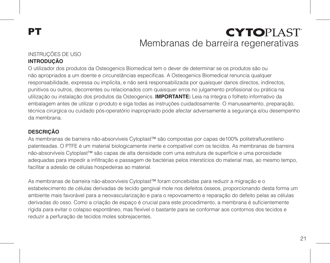# PT

# **CYTOPIAST** Membranas de barreira regenerativas

### INSTRUÇÕES DE USO **INTRODUÇÃO**

O utilizador dos produtos da Osteogenics Biomedical tem o dever de determinar se os produtos são ou não apropriados a um doente e circunstâncias específicas. A Osteogenics Biomedical renuncia qualquer responsabilidade, expressa ou implícita, e não será responsabilizada por quaisquer danos directos, indirectos, punitivos ou outros, decorrentes ou relacionados com quaisquer erros no julgamento profissional ou prática na utilização ou instalação dos produtos da Osteogenics. **IMPORTANTE:** Leia na íntegra o folheto informativo da embalagem antes de utilizar o produto e siga todas as instruções cuidadosamente. O manuseamento, preparação, técnica cirúrgica ou cuidado pós-operatório inapropriado pode afectar adversamente a segurança e/ou desempenho da membrana.

## **DESCRIÇÃO**

As membranas de barreira não-absorvíveis Cytoplast™ são compostas por capas de100% politetrafluoretileno patenteadas. O PTFE é um material biologicamente inerte e compatível com os tecidos. As membranas de barreira não-absorvíveis Cytoplast™ são capas de alta densidade com uma estrutura de superfície e uma porosidade adequadas para impedir a infiltração e passagem de bactérias pelos interstícios do material mas, ao mesmo tempo, facilitar a adesão de células hospedeiras ao material.

As membranas de barreira não-absorvíveis Cytoplast™ foram concebidas para reduzir a migração e o estabelecimento de células derivadas de tecido gengival mole nos defeitos ósseos, proporcionando desta forma um ambiente mais favorável para a neovascularização e para o repovoamento e reparação do defeito pelas as células derivadas do osso. Como a criação de espaço é crucial para este procedimento, a membrana é suficientemente rígida para evitar o colapso espontâneo, mas flexível o bastante para se conformar aos contornos dos tecidos e reduzir a perfuração de tecidos moles sobrejacentes.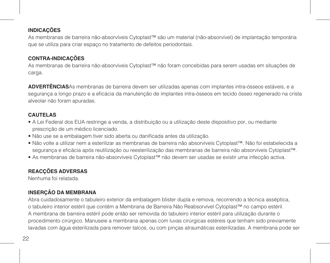## **INDICAÇÕES**

As membranas de barreira não-absorvíveis Cytoplast™ são um material (não-absorvível) de implantação temporária que se utiliza para criar espaço no tratamento de defeitos periodontais.

## **CONTRA-INDICAÇÕES**

As membranas de barreira não-absorvíveis Cytoplast™ não foram concebidas para serem usadas em situações de carga.

**ADVERTÊNCIAS**As membranas de barreira devem ser utilizadas apenas com implantes intra-ósseos estáveis, e a segurança a longo prazo e a eficácia da manutenção de implantes intra-ósseos em tecido ósseo regenerado na crista alveolar não foram apuradas.

## **CAUTELAS**

- A Lei Federal dos EUA restringe a venda, a distribuição ou a utilização deste dispositivo por, ou mediante prescrição de um médico licenciado.
- Não use se a embalagem tiver sido aberta ou danificada antes da utilização.
- Não volte a utilizar nem a esterilizar as membranas de barreira não absorvíveis Cytoplast™. Não foi estabelecida a segurança e eficácia após reutilização ou reesterilização das membranas de barreira não absorvíveis Cytoplast™.
- As membranas de barreira não-absorvíveis Cytoplast™ não devem ser usadas se existir uma infecção activa.

## **REACÇÕES ADVERSAS**

Nenhuma foi relatada.

## **INSERÇÃO DA MEMBRANA**

Abra cuidadosamente o tabuleiro exterior da embalagem blister dupla e remova, recorrendo a técnica asséptica, o tabuleiro interior estéril que contém a Membrana de Barreira Não Reabsorvível Cytoplast™ no campo estéril. A membrana de barreira estéril pode então ser removida do tabuleiro interior estéril para utilização durante o procedimento cirúrgico. Manuseie a membrana apenas com luvas cirúrgicas estéreis que tenham sido previamente lavadas com água esterilizada para remover talcos, ou com pinças atraumáticas esterilizadas. A membrana pode ser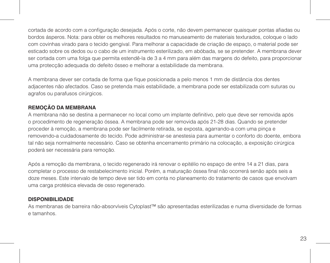cortada de acordo com a configuração desejada. Após o corte, não devem permanecer quaisquer pontas afiadas ou bordos ásperos. Nota: para obter os melhores resultados no manuseamento de materiais texturados, coloque o lado com covinhas virado para o tecido gengival. Para melhorar a capacidade de criação de espaço, o material pode ser esticado sobre os dedos ou o cabo de um instrumento esterilizado, em abóbada, se se pretender. A membrana dever ser cortada com uma folga que permita estendê-la de 3 a 4 mm para além das margens do defeito, para proporcionar uma protecção adequada do defeito ósseo e melhorar a estabilidade da membrana.

A membrana dever ser cortada de forma que fique posicionada a pelo menos 1 mm de distância dos dentes adjacentes não afectados. Caso se pretenda mais estabilidade, a membrana pode ser estabilizada com suturas ou agrafos ou parafusos cirúrgicos.

## **REMOÇÃO DA MEMBRANA**

A membrana não se destina a permanecer no local como um implante definitivo, pelo que deve ser removida após o procedimento de regeneração óssea. A membrana pode ser removida após 21-28 dias. Quando se pretender proceder à remoção, a membrana pode ser facilmente retirada, se exposta, agarrando-a com uma pinça e removendo-a cuidadosamente do tecido. Pode administrar-se anestesia para aumentar o conforto do doente, embora tal não seja normalmente necessário. Caso se obtenha encerramento primário na colocação, a exposição cirúrgica poderá ser necessária para remoção.

Após a remoção da membrana, o tecido regenerado irá renovar o epitélio no espaço de entre 14 a 21 dias, para completar o processo de restabelecimento inicial. Porém, a maturação óssea final não ocorrerá senão após seis a doze meses. Este intervalo de tempo deve ser tido em conta no planeamento do tratamento de casos que envolvam uma carga protésica elevada de osso regenerado.

### **DISPONIBILIDADE**

As membranas de barreira não-absorvíveis Cytoplast™ são apresentadas esterilizadas e numa diversidade de formas e tamanhos.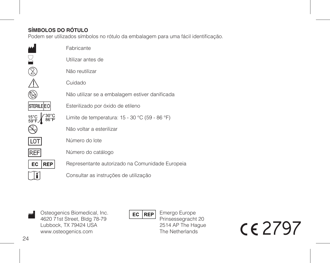## **SÍMBOLOS DO RÓTULO**

Podem ser utilizados símbolos no rótulo da embalagem para uma fácil identificação.

|                                 | Fabricante                                      |
|---------------------------------|-------------------------------------------------|
|                                 | Utilizar antes de                               |
|                                 | Não reutilizar                                  |
|                                 | Cuidado                                         |
|                                 | Não utilizar se a embalagem estiver danificada  |
| <b>STERILE EO</b>               | Esterilizado por óxido de etileno               |
| $30^{\circ}$ C<br>15°C<br>59°F. | Limite de temperatura: 15 - 30 °C (59 - 86 °F)  |
|                                 | Não voltar a esterilizar                        |
|                                 | Número do lote                                  |
| IREF                            | Número do catálogo                              |
| EC<br><b>REP</b>                | Representante autorizado na Comunidade Europeia |
|                                 | Consultar as instruções de utilização           |

M Osteogenics Biomedical, Inc. 4620 71st Street, Bldg 78-79 Lubbock, TX 79424 USA www.osteogenics.com

 $EC$  REP

Emergo Europe Prinsessegracht 20 2514 AP The Hague The Netherlands

C2797

24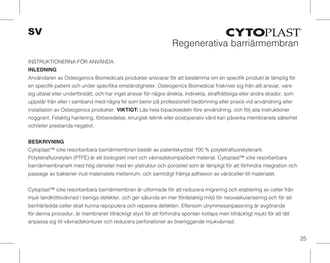# **CYTOPIAST** Regenerativa barriärmembran

## INSTRUKTIONERNA FÖR ANVÄNDA

### **INLEDNING**

Användaren av Osteogenics Biomedicals produkter ansvarar för att bestämma om en specifik produkt är lämplig för en specifik patient och under specifika omständigheter. Osteogenics Biomedical friskriver sig från allt ansvar, vare sig uttalat eller underförstått, och har inget ansvar för några direkta, indirekta, straffrättsliga eller andra skador, som uppstår från eller i samband med några fel som beror på professionell bedömning eller praxis vid användning eller installation av Osteogenics produkter. **VIKTIGT:** Läs hela bipacksedeln före användning, och följ alla instruktioner noggrant. Felaktig hantering, förberedelse, kirurgisk teknik eller postoperativ vård kan påverka membranets säkerhet och/eller prestanda negativt.

#### **BESKRIVNING**

Cytoplast™ icke resorberbara barriärmembran består av patentskyddat 100 % polytetrafluoretylenark. Polytetrafluoretylen (PTFE) är ett biologiskt inert och vävnadskompatibelt material. Cytoplast™ icke resorberbara barriärmembranark med hög densitet med en ytstruktur och porositet som är lämpligt för att förhindra integration och passage av bakterier inuti materialets mellanrum, och samtidigt främja adhesion av värdceller till materialet.

Cytoplast™ icke resorberbara barriärmembran är utformade för att reducera migrering och etablering av celler från mjuk tandköttsvävnad i beniga defekter, och ger sålunda en mer fördelaktig miljö för neovaskularisering och för att benhärledda celler skall kunna repopulera och reparera defekten. Eftersom utrymmesanpassning är avgörande för denna procedur, är membranet tillräckligt styvt för att förhindra spontan kollaps men tillräckligt mjukt för att lätt anpassa sig till vävnadskonturer och reducera perforationer av överliggande mjukvävnad.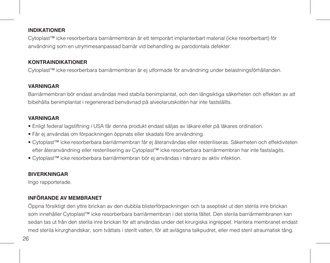#### **INDIKATIONER**

Cytoplast™ icke resorberbara barriärmembran är ett temporärt implanterbart material (icke resorberbart) för användning som en utrymmesanpassad barriär vid behandling av parodontala defekter.

## **KONTRAINDIKATIONER**

Cytoplast™ icke resorberbara barriärmembran är ej utformade för användning under belastningsförhållanden.

#### **VARNINGAR**

Barriärmembran bör endast användas med stabila benimplantat, och den långsiktiga säkerheten och effekten av att bibehålla benimplantat i regenererad benvävnad på alveolarutskotten har inte fastställts.

#### **VARNINGAR**

- Enligt federal lagstiftning i USA får denna produkt endast säljas av läkare eller på läkares ordination.
- Får ei användas om förpackningen öppnats eller skadats före användning.
- Cytoplast™ icke resorberbara barriärmembran får ej återanvändas eller resteriliseras. Säkerheten och effektiviteten efter återanvändning eller resterilisering av Cytoplast™ icke resorberbara barriärmembran har inte fastslagits.
- Cytoplast™ icke resorberbara barriärmembran bör ej användas i närvaro av aktiv infektion.

### **BIVERKNINGAR**

Ingo rapporterade.

## **INFÖRANDE AV MEMBRANET**

Öppna försiktigt den yttre brickan av den dubbla blisterförpackningen och ta aseptiskt ut den sterila inre brickan som innehåller Cytoplast™ icke resorberbara barriärmembran i det sterila fältet. Den sterila barriärmembranen kan sedan tas ut från den sterila inre brickan för att användas under det kirurgiska ingreppet. Hantera membranet endast med sterila kirurghandskar, som tvättats i sterilt vatten, för att avlägsna talkpudret, eller med steril atraumatisk tång.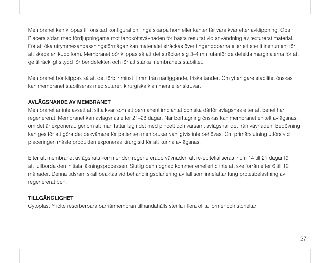Membranet kan klippas till önskad konfiguration. Inga skarpa hörn eller kanter får vara kvar efter avklippning. Obs! Placera sidan med fördjupningarna mot tandköttsvävnaden för bästa resultat vid användning av texturerat material. För att öka utrymmesanpassningsförmågan kan materialet sträckas över fingertopparna eller ett sterilt instrument för att skapa en kupolform. Membranet bör klippas så att det sträcker sig 3–4 mm utanför de defekta marginalerna för att ge tillräckligt skydd för bendefekten och för att stärka membranets stabilitet.

Membranet bör klippas så att det förblir minst 1 mm från närliggande, friska tänder. Om ytterligare stabilitet önskas kan membranet stabiliseras med suturer, kirurgiska klammers eller skruvar.

## **AVLÄGSNANDE AV MEMBRANET**

Membranet är inte avsett att sitta kvar som ett permanent implantat och ska därför avlägsnas efter att benet har regenererat. Membranet kan avlägsnas efter 21–28 dagar. När borttagning önskas kan membranet enkelt avlägsnas, om det är exponerat, genom att man fattar tag i det med pincett och varsamt avlägsnar det från vävnaden. Bedövning kan ges för att göra det bekvämare för patienten men brukar vanligtvis inte behövas. Om primärslutning utförs vid placeringen måste produkten exponeras kirurgiskt för att kunna avlägsnas.

Efter att membranet avlägsnats kommer den regenererade vävnaden att re-epitelialiseras inom 14 till 21 dagar för att fullborda den initiala läkningsprocessen. Slutlig benmognad kommer emellertid inte att ske förrän efter 6 till 12 månader. Denna tidsram skall beaktas vid behandlingsplanering av fall som innefattar tung protesbelastning av regenererat ben.

## **TILLGÄNGLIGHET**

Cytoplast™ icke resorberbara barriärmembran tillhandahålls sterila i flera olika former och storlekar.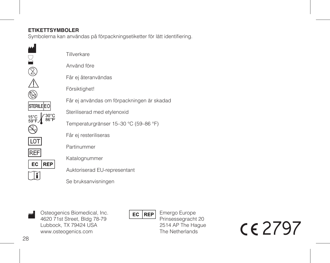## **ETIKETTSYMBOLER**

Symbolerna kan användas på förpackningsetiketter för lätt identifiering.



Tillverkare

Använd före

Får ej återanvändas

Försiktighet!

Får ej användas om förpackningen är skadad

Steriliserad med etylenoxid

Temperaturgränser 15–30 °C (59–86 °F)

Får ej resteriliseras

Partinummer

Katalognummer

Auktoriserad EU-representant

Se bruksanvisningen

M Osteogenics Biomedical, Inc. 4620 71st Street, Bldg 78-79 Lubbock, TX 79424 USA www.osteogenics.com

 $EC$  REP

Emergo Europe Prinsessegracht 20 2514 AP The Hague The Netherlands

 $CF2797$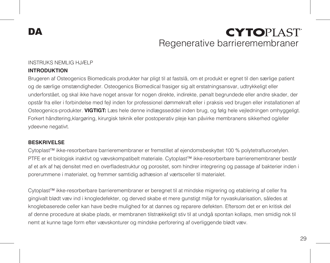DA

# **CYTOPIAST** Regenerative barrieremembraner

## INSTRUKS NEMLIG HJÆLP

### **INTRODUKTION**

Brugeren af Osteogenics Biomedicals produkter har pligt til at fastslå, om et produkt er egnet til den særlige patient og de særlige omstændigheder. Osteogenics Biomedical frasiger sig alt erstatningsansvar, udtrykkeligt eller underforstået, og skal ikke have noget ansvar for nogen direkte, indirekte, pønalt begrundede eller andre skader, der opstår fra eller i forbindelse med fejl inden for professionel dømmekraft eller i praksis ved brugen eller installationen af Osteogenics-produkter. **VIGTIGT:** Læs hele denne indlægsseddel inden brug, og følg hele vejledningen omhyggeligt. Forkert håndtering,klargøring, kirurgisk teknik eller postoperativ pleje kan påvirke membranens sikkerhed og/eller ydeevne negativt.

### **BESKRIVELSE**

Cytoplast™ ikke-resorberbare barrieremembraner er fremstillet af ejendomsbeskyttet 100 % polytetrafluoroetylen. PTFE er et biologisk inaktivt og vævskompatibelt materiale. Cytoplast™ ikke-resorberbare barrieremembraner består af et ark af høj densitet med en overfladestruktur og porositet, som hindrer integrering og passage af bakterier inden i porerummene i materialet, og fremmer samtidig adhæsion af værtsceller til materialet.

Cytoplast™ ikke-resorberbare barrieremembraner er beregnet til at mindske migrering og etablering af celler fra gingivalt blødt væv ind i knogledefekter, og derved skabe et mere gunstigt miljø for nyvaskularisation, således at knoglebaserede celler kan have bedre mulighed for at dannes og reparere defekten. Eftersom det er en kritisk del af denne procedure at skabe plads, er membranen tilstrækkeligt stiv til at undgå spontan kollaps, men smidig nok til nemt at kunne tage form efter vævskonturer og mindske perforering af overliggende blødt væv.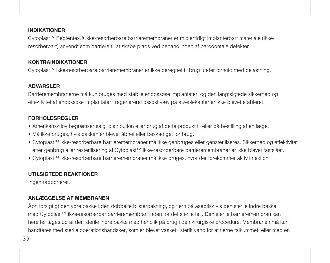#### **INDIKATIONER**

Cytoplast™ Regtentex® ikke-resorberbare barrieremembraner er midlertidigt implanterbart materiale (ikkeresorberbart) anvendt som barriere til at skabe plads ved behandlingen af parodontale defekter.

## **KONTRAINDIKATIONER**

Cytoplast™ ikke-resorberbare barrieremembraner er ikke beregnet til brug under forhold med belastning.

### **ADVARSLER**

Barrieremembranerne må kun bruges med stabile endossøse implantater, og den langtsigtede sikkerhed og effektivitet af endossøse implantater i regenereret ossøst væv på alveolekanter er ikke blevet etableret.

## **FORHOLDSREGLER**

- Amerikansk lov begrænser salg, distribution eller brug af dette produkt til eller på bestilling af en læge.
- Må ikke bruges, hvis pakken er blevet åbnet eller beskadiget før brug.
- Cytoplast™ ikke-resorberbare barrieremembraner må ikke genbruges eller gensteriliseres. Sikkerhed og effektivitet efter genbrug eller resterilisering af Cytoplast™ ikke-resorberbare barrieremembraner er ikke blevet fastslået.
- Cytoplast™ ikke-resorberbare barrieremembraner må ikke bruges. hvor der forekommer aktiv infektion.

## **UTILSIGTEDE REAKTIONER**

Ingen rapporteret.

## **ANLÆGGELSE AF MEMBRANEN**

Åbn forsigtigt den ydre bakke i den dobbelte blisterpakning, og fjern på aseptisk vis den sterile indre bakke med Cytoplast™ ikke-resorberbar barrieremembran inden for det sterile felt. Den sterile barrieremembran kan herefter tages ud af den sterile indre bakke med henblik på brug i den kirurgiske procedure. Membranen må kun håndteres med sterile operationshandsker, som er blevet vasket i sterilt vand for at fjerne talkummet, eller med en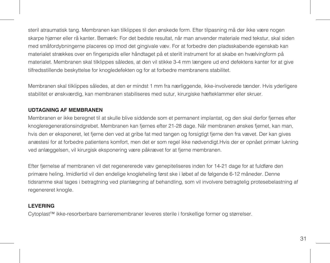steril atraumatisk tang. Membranen kan tilklippes til den ønskede form. Efter tilpasning må der ikke være nogen skarpe hjørner eller rå kanter. Bemærk: For det bedste resultat, når man anvender materiale med tekstur, skal siden med småfordybningerne placeres op imod det gingivale væv. For at forbedre den pladsskabende egenskab kan materialet strækkes over en fingerspids eller håndtaget på et sterilt instrument for at skabe en hvælvingform på materialet. Membranen skal tilklippes således, at den vil stikke 3-4 mm længere ud end defektens kanter for at give tilfredsstillende beskyttelse for knogledefekten og for at forbedre membranens stabilitet.

Membranen skal tilklippes således, at den er mindst 1 mm fra nærliggende, ikke-involverede tænder. Hvis yderligere stabilitet er ønskværdig, kan membranen stabiliseres med sutur, kirurgiske hæfteklammer eller skruer.

### **UDTAGNING AF MEMBRANEN**

Membranen er ikke beregnet til at skulle blive siddende som et permanent implantat, og den skal derfor fjernes efter knogleregenerationsindgrebet. Membranen kan fjernes efter 21-28 dage. Når membranen ønskes fjernet, kan man, hvis den er eksponeret, let fjerne den ved at gribe fat med tangen og forsigtigt fjerne den fra vævet. Der kan gives anæstesi for at forbedre patientens komfort, men det er som regel ikke nødvendigt.Hvis der er opnået primær lukning ved anlæggelsen, vil kirurgisk eksponering være påkrævet for at fjerne membranen.

Efter fjernelse af membranen vil det regenererede væv genepiteliseres inden for 14-21 dage for at fuldføre den primære heling. Imidlertid vil den endelige knogleheling først ske i løbet af de følgende 6-12 måneder. Denne tidsramme skal tages i betragtning ved planlægning af behandling, som vil involvere betragtelig protesebelastning af regenereret knogle.

#### **LEVERING**

Cytoplast™ ikke-resorberbare barrieremembraner leveres sterile i forskellige former og størrelser.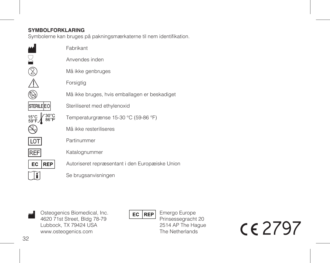## **SYMBOLFORKLARING**

Symbolerne kan bruges på pakningsmærkaterne til nem identifikation.

|                   | Fabrikant                                       |
|-------------------|-------------------------------------------------|
|                   | Anvendes inden                                  |
|                   | Må ikke genbruges                               |
|                   | Forsigtig                                       |
|                   | Må ikke bruges, hvis emballagen er beskadiget   |
| <b>STERILE EO</b> | Steriliseret med ethylenoxid                    |
| 15°C<br>59°F.     | Temperaturgrænse 15-30 °C (59-86 °F)            |
|                   | Må ikke resteriliseres                          |
| LOT               | Partinummer                                     |
| <b>REF</b>        | Katalognummer                                   |
| EC<br><b>REP</b>  | Autoriseret repræsentant i den Europæiske Union |
|                   | Se brugsanvisningen                             |
|                   |                                                 |

M Osteogenics Biomedical, Inc. 4620 71st Street, Bldg 78-79 Lubbock, TX 79424 USA www.osteogenics.com

 $EC$  REP

Emergo Europe Prinsessegracht 20 2514 AP The Hague The Netherlands

C2797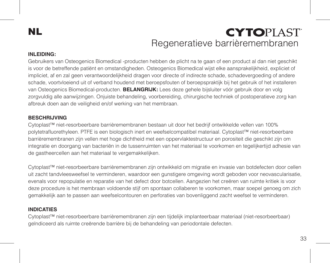# NL

# **CYTOPIAST** Regeneratieve barrièremembranen

### **INLEIDING:**

Gebruikers van Osteogenics Biomedical -producten hebben de plicht na te gaan of een product al dan niet geschikt is voor de betreffende patiënt en omstandigheden. Osteogenics Biomedical wijst elke aansprakelijkheid, expliciet of impliciet, af en zal geen verantwoordelijkheid dragen voor directe of indirecte schade, schadevergoeding of andere schade, voortvloeiend uit of verband houdend met beroepsfouten of beroepspraktijk bij het gebruik of het installeren van Osteogenics Biomedical-producten. **BELANGRIJK:** Lees deze gehele bijsluiter vóór gebruik door en volg zorgvuldig alle aanwijzingen. Onjuiste behandeling, voorbereiding, chirurgische techniek of postoperatieve zorg kan afbreuk doen aan de veiligheid en/of werking van het membraan.

#### **BESCHRIJVING**

Cytoplast™ niet-resorbeerbare barrièremembranen bestaan uit door het bedrijf ontwikkelde vellen van 100% polytetrafluorethyleen. PTFE is een biologisch inert en weefselcompatibel materiaal. Cytoplast™ niet-resorbeerbare barrièremembranen zijn vellen met hoge dichtheid met een oppervlaktestructuur en porositeit die geschikt zijn om integratie en doorgang van bacteriën in de tussenruimten van het materiaal te voorkomen en tegelijkertijd adhesie van de gastheercellen aan het materiaal te vergemakkelijken.

Cytoplast™ niet-resorbeerbare barrièremembranen zijn ontwikkeld om migratie en invasie van botdefecten door cellen uit zacht tandvleesweefsel te verminderen, waardoor een gunstigere omgeving wordt geboden voor neovascularisatie, evenals voor repopulatie en reparatie van het defect door botcellen. Aangezien het creëren van ruimte kritiek is voor deze procedure is het membraan voldoende stijf om spontaan collaberen te voorkomen, maar soepel genoeg om zich gemakkelijk aan te passen aan weefselcontouren en perforaties van bovenliggend zacht weefsel te verminderen.

#### **INDICATIES**

Cytoplast™ niet-resorbeerbare barrièremembranen zijn een tijdelijk implanteerbaar materiaal (niet-resorbeerbaar) geïndiceerd als ruimte creërende barrière bij de behandeling van periodontale defecten.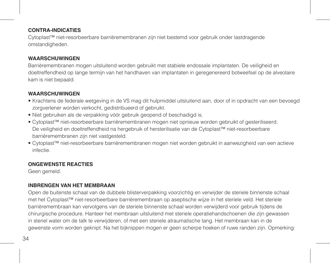### **CONTRA-INDICATIES**

Cytoplast™ niet-resorbeerbare barrièremembranen zijn niet bestemd voor gebruik onder lastdragende omstandigheden.

## **WAARSCHUWINGEN**

Barrièremembranen mogen uitsluitend worden gebruikt met stabiele endossale implantaten. De veiligheid en doeltreffendheid op lange termijn van het handhaven van implantaten in geregenereerd botweefsel op de alveolaire kam is niet bepaald.

## **WAARSCHUWINGEN**

- Krachtens de federale wetgeving in de VS mag dit hulpmiddel uitsluitend aan, door of in opdracht van een bevoegd zorgverlener worden verkocht, gedistribueerd of gebruikt.
- Niet gebruiken als de verpakking vóór gebruik geopend of beschadigd is.
- Cytoplast™ niet-resorbeerbare barrièremembranen mogen niet opnieuw worden gebruikt of gesteriliseerd. De veiligheid en doeltreffendheid na hergebruik of hersterilisatie van de Cytoplast™ niet-resorbeerbare barrièremembranen zijn niet vastgesteld.
- Cytoplast™ niet-resorbeerbare barrièremembranen mogen niet worden gebruikt in aanwezigheid van een actieve infectie.

## **ONGEWENSTE REACTIES**

Geen gemeld.

## **INBRENGEN VAN HET MEMBRAAN**

Open de buitenste schaal van de dubbele blisterverpakking voorzichtig en verwijder de steriele binnenste schaal met het Cytoplast™ niet-resorbeerbare barrièremembraan op aseptische wijze in het steriele veld. Het steriele barrièremembraan kan vervolgens van de steriele binnenste schaal worden verwijderd voor gebruik tijdens de chirurgische procedure. Hanteer het membraan uitsluitend met steriele operatiehandschoenen die zijn gewassen in steriel water om de talk te verwijderen, of met een steriele atraumatische tang. Het membraan kan in de gewenste vorm worden geknipt. Na het bijknippen mogen er geen scherpe hoeken of ruwe randen zijn. Opmerking: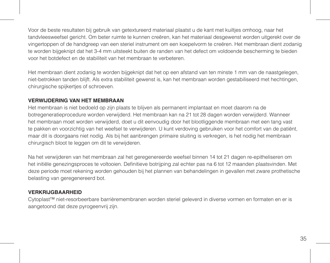Voor de beste resultaten bij gebruik van getextureerd materiaal plaatst u de kant met kuiltjes omhoog, naar het tandvleesweefsel gericht. Om beter ruimte te kunnen creëren, kan het materiaal desgewenst worden uitgerekt over de vingertoppen of de handgreep van een steriel instrument om een koepelvorm te creëren. Het membraan dient zodanig te worden bijgeknipt dat het 3-4 mm uitsteekt buiten de randen van het defect om voldoende bescherming te bieden voor het botdefect en de stabiliteit van het membraan te verbeteren.

Het membraan dient zodanig te worden bijgeknipt dat het op een afstand van ten minste 1 mm van de naastgelegen, niet-betrokken tanden blijft. Als extra stabiliteit gewenst is, kan het membraan worden gestabiliseerd met hechtingen, chirurgische spijkertjes of schroeven.

#### **VERWIJDERING VAN HET MEMBRAAN**

Het membraan is niet bedoeld op zijn plaats te blijven als permanent implantaat en moet daarom na de botregeneratieprocedure worden verwijderd. Het membraan kan na 21 tot 28 dagen worden verwijderd. Wanneer het membraan moet worden verwijderd, doet u dit eenvoudig door het blootliggende membraan met een tang vast te pakken en voorzichtig van het weefsel te verwijderen. U kunt verdoving gebruiken voor het comfort van de patiënt maar dit is doorgaans niet nodig. Als bij het aanbrengen primaire sluiting is verkregen, is het nodig het membraan chirurgisch bloot te leggen om dit te verwijderen.

Na het verwijderen van het membraan zal het geregenereerde weefsel binnen 14 tot 21 dagen re-epitheliseren om het initiële genezingsproces te voltooien. Definitieve botrijping zal echter pas na 6 tot 12 maanden plaatsvinden. Met deze periode moet rekening worden gehouden bij het plannen van behandelingen in gevallen met zware prothetische belasting van geregenereerd bot.

### **VERKRIJGBAARHEID**

Cytoplast™ niet-resorbeerbare barrièremembranen worden steriel geleverd in diverse vormen en formaten en er is aangetoond dat deze pyrogeenvrij zijn.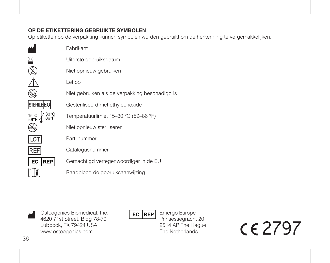## **OP DE ETIKETTERING GEBRUIKTE SYMBOLEN**

Op etiketten op de verpakking kunnen symbolen worden gebruikt om de herkenning te vergemakkelijken.

|                   | Fabrikant                                      |
|-------------------|------------------------------------------------|
|                   | Uiterste gebruiksdatum                         |
|                   | Niet opnieuw gebruiken                         |
|                   | Let op                                         |
|                   | Niet gebruiken als de verpakking beschadigd is |
| <b>STERILE EO</b> | Gesteriliseerd met ethyleenoxide               |
| 15°C<br>59°F.     | Temperatuurlimiet 15-30 °C (59-86 °F)          |
|                   | Niet opnieuw steriliseren                      |
| LOT               | Partijnummer                                   |
| <b>REF</b>        | Catalogusnummer                                |
| EC<br><b>REP</b>  | Gemachtigd vertegenwoordiger in de EU          |
|                   | Raadpleeg de gebruiksaanwijzing                |
|                   |                                                |

M Osteogenics Biomedical, Inc. 4620 71st Street, Bldg 78-79 Lubbock, TX 79424 USA www.osteogenics.com

 $EC$  REP

Emergo Europe Prinsessegracht 20 2514 AP The Hague The Netherlands

C2797

 $\epsilon$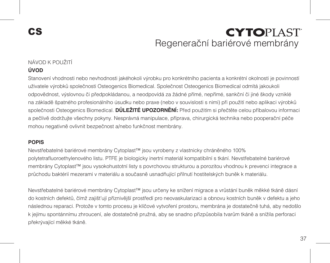# **CYTOPIAST** Regenerační bariérové membrány

### NÁVOD K POUŽITÍ **ÚVOD**

Stanovení vhodnosti nebo nevhodnosti jakéhokoli výrobku pro konkrétního pacienta a konkrétní okolnosti je povinností uživatele výrobků společnosti Osteogenics Biomedical. Společnost Osteogenics Biomedical odmítá jakoukoli odpovědnost, výslovnou či předpokládanou, a neodpovídá za žádné přímé, nepřímé, sankční či jiné škody vzniklé na základě špatného profesionálního úsudku nebo praxe (nebo v souvislosti s nimi) při použití nebo aplikaci výrobků společnosti Osteogenics Biomedical. **DŮLEŽITÉ UPOZORNĚNÍ:** Před použitím si přečtěte celou příbalovou informaci a pečlivě dodržujte všechny pokyny. Nesprávná manipulace, příprava, chirurgická technika nebo pooperační péče mohou negativně ovlivnit bezpečnost a/nebo funkčnost membrány.

### **POPIS**

Nevstřebatelné bariérové membrány Cytoplast™ jsou vyrobeny z vlastnicky chráněného 100% polytetrafluoroethylenového listu. PTFE je biologicky inertní materiál kompatibilní s tkání. Nevstřebatelné bariérové membrány Cytoplast™ jsou vysokohustotní listy s povrchovou strukturou a porozitou vhodnou k prevenci integrace a průchodu baktérií mezerami v materiálu a současně usnadňující přilnutí hostitelských buněk k materiálu.

Nevstřebatelné bariérové membrány Cytoplast™ jsou určeny ke snížení migrace a vrůstání buněk měkké tkáně dásní do kostních defektů, čímž zajišťují příznivější prostředí pro neovaskularizaci a obnovu kostních buněk v defektu a jeho následnou reparaci. Protože v tomto procesu je klíčové vytvoření prostoru, membrána je dostatečně tuhá, aby nedošlo k jejímu spontánnímu zhroucení, ale dostatečně pružná, aby se snadno přizpůsobila tvarům tkáně a snížila perforaci překrývající měkké tkáně.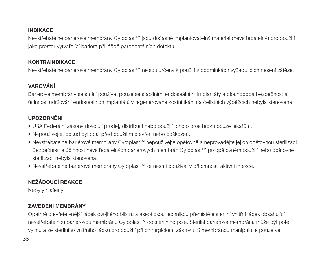## **INDIKACE**

Nevstřebatelné bariérové membrány Cytoplast™ jsou dočasně implantovatelný materiál (nevstřebatelný) pro použití jako prostor vytvářející bariéra při léčbě parodontálních defektů.

## **KONTRAINDIKACE**

Nevstřebatelné bariérové membrány Cytoplast™ nejsou určeny k použití v podmínkách vyžadujících nesení zátěže.

## **VAROVÁNÍ**

Bariérové membrány se smějí používat pouze se stabilními endoseálními implantáty a dlouhodobá bezpečnost a účinnost udržování endoseálních implantátů v regenerované kostní tkáni na čelistních výběžcích nebyla stanovena.

## **UPOZORNĚNÍ**

- USA Federální zákony dovolují prodej, distribuci nebo použití tohoto prostředku pouze lékařům.
- Nepoužívejte, pokud byl obal před použitím otevřen nebo poškozen.
- Nevstřebatelné bariérové membrány Cytoplast™ nepoužívejte opětovně a neprovádějte jejich opětovnou sterilizaci. Bezpečnost a účinnost nevstřebatelných bariérových membrán Cytoplast™ po opětovném použití nebo opětovné sterilizaci nebyla stanovena.
- Nevstřebatelné bariérové membrány Cytoplast™ se nesmí používat v přítomnosti aktivní infekce.

## **NEŽÁDOUCÍ REAKCE**

Nebyly hlášeny.

## **ZAVEDENÍ MEMBRÁNY**

Opatrně otevřete vnější tácek dvojitého blistru a aseptickou technikou přemístěte sterilní vnitřní tácek obsahující nevstřebatelnou bariérovou membránu Cytoplast™ do sterilního pole. Sterilní bariérová membrána může být poté vyjmuta ze sterilního vnitřního tácku pro použití při chirurgickém zákroku. S membránou manipulujte pouze ve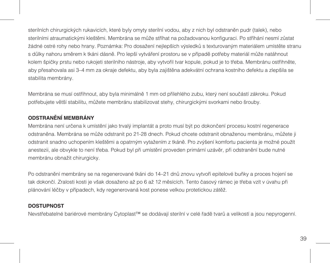sterilních chirurgických rukavicích, které byly omyty sterilní vodou, aby z nich byl odstraněn pudr (talek), nebo sterilními atraumatickými kleštěmi. Membrána se může stříhat na požadovanou konfiguraci. Po stříhání nesmí zůstat žádné ostré rohy nebo hrany. Poznámka: Pro dosažení nejlepších výsledků s texturovaným materiálem umístěte stranu s důlky nahoru směrem k tkáni dásně. Pro lepší vytváření prostoru se v případě potřeby materiál může natáhnout kolem špičky prstu nebo rukojeti sterilního nástroje, aby vytvořil tvar kopule, pokud je to třeba. Membránu ostřihněte, aby přesahovala asi 3–4 mm za okraje defektu, aby byla zajištěna adekvátní ochrana kostního defektu a zlepšila se stabilita membrány.

Membrána se musí ostřihnout, aby byla minimálně 1 mm od přilehlého zubu, který není součástí zákroku. Pokud potřebujete větší stabilitu, můžete membránu stabilizovat stehy, chirurgickými svorkami nebo šrouby.

## **ODSTRANĚNÍ MEMBRÁNY**

Membrána není určena k umístění jako trvalý implantát a proto musí být po dokončení procesu kostní regenerace odstraněna. Membrána se může odstranit po 21-28 dnech. Pokud chcete odstranit obnaženou membránu, můžete ji odstranit snadno uchopením kleštěmi a opatrným vytažením z tkáně. Pro zvýšení komfortu pacienta je možné použít anestezii, ale obvykle to není třeba. Pokud byl při umístění proveden primární uzávěr, při odstranění bude nutné membránu obnažit chirurgicky.

Po odstranění membrány se na regenerované tkáni do 14–21 dnů znovu vytvoří epitelové buňky a proces hojení se tak dokončí. Zralosti kosti je však dosaženo až po 6 až 12 měsících. Tento časový rámec je třeba vzít v úvahu při plánování léčby v případech, kdy regenerovaná kost ponese velkou protetickou zátěž.

## **DOSTUPNOST**

Nevstřebatelné bariérové membrány Cytoplast™ se dodávají sterilní v celé řadě tvarů a velikostí a jsou nepyrogenní.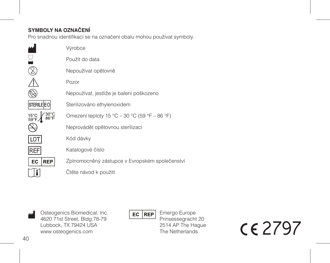## **SYMBOLY NA OZNAČENÍ**

M  $\ge$ 

Pro snadnou identifikaci se na označení obalu mohou používat symboly.

|                                           | Výrobce                                        |
|-------------------------------------------|------------------------------------------------|
|                                           | Použít do data                                 |
|                                           | Nepoužívat opětovně                            |
|                                           | Pozor                                          |
|                                           | Nepoužívat, jestliže je balení poškozeno       |
| <b>STERILE EO</b>                         | Sterilizováno ethylenoxidem                    |
| $30^\circ C$<br>15°C<br>59°F <sub>-</sub> | Omezení teploty 15 °C - 30 °C (59 °F - 86 °F)  |
|                                           | Neprovádět opětovnou sterilizaci               |
| LOT                                       | Kód dávky                                      |
| REFI                                      | Katalogové číslo                               |
| EC<br><b>REP</b>                          | Zplnomocněný zástupce v Evropském společenstvi |
|                                           | Ctěte návod k použití                          |
|                                           |                                                |

M Osteogenics Biomedical, Inc. 4620 71st Street, Bldg 78-79 Lubbock, TX 79424 USA www.osteogenics.com

 $EC$  REP

Emergo Europe Prinsessegracht 20 2514 AP The Hague The Netherlands

C2797